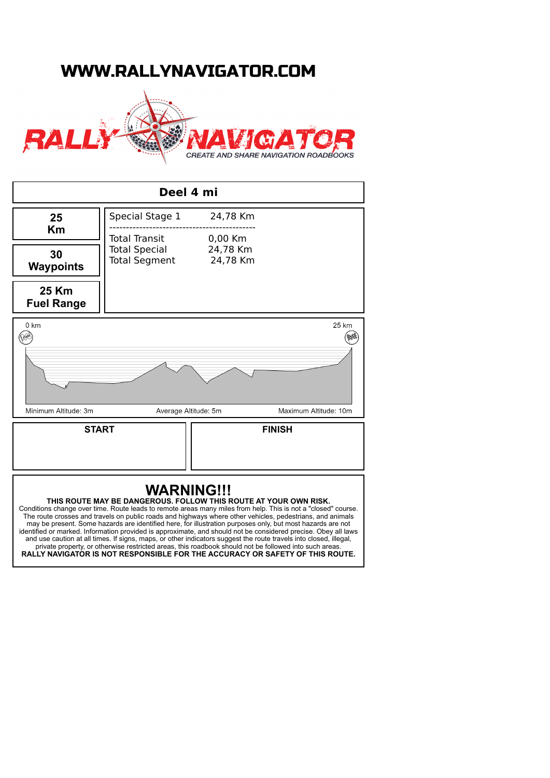## WWW.RALLYNAVIGATOR.COM



| Deel 4 mi                  |                                                                  |                                 |                                                                                                                                                                                                                                                                                                                                                                                                                                                                                                                                                                                 |
|----------------------------|------------------------------------------------------------------|---------------------------------|---------------------------------------------------------------------------------------------------------------------------------------------------------------------------------------------------------------------------------------------------------------------------------------------------------------------------------------------------------------------------------------------------------------------------------------------------------------------------------------------------------------------------------------------------------------------------------|
| 25<br>Km                   | Special Stage 1                                                  | 24,78 Km                        |                                                                                                                                                                                                                                                                                                                                                                                                                                                                                                                                                                                 |
|                            | <b>Total Transit</b><br><b>Total Special</b><br>Total Segment    | 0,00 Km<br>24,78 Km<br>24,78 Km |                                                                                                                                                                                                                                                                                                                                                                                                                                                                                                                                                                                 |
| 30<br><b>Waypoints</b>     |                                                                  |                                 |                                                                                                                                                                                                                                                                                                                                                                                                                                                                                                                                                                                 |
| 25 Km<br><b>Fuel Range</b> |                                                                  |                                 |                                                                                                                                                                                                                                                                                                                                                                                                                                                                                                                                                                                 |
| 0 km<br>START              |                                                                  |                                 | 25 km                                                                                                                                                                                                                                                                                                                                                                                                                                                                                                                                                                           |
|                            |                                                                  |                                 |                                                                                                                                                                                                                                                                                                                                                                                                                                                                                                                                                                                 |
| Minimum Altitude: 3m       |                                                                  | Average Altitude: 5m            | Maximum Altitude: 10m                                                                                                                                                                                                                                                                                                                                                                                                                                                                                                                                                           |
| <b>START</b>               |                                                                  |                                 | <b>FINISH</b>                                                                                                                                                                                                                                                                                                                                                                                                                                                                                                                                                                   |
|                            | THIS ROUTE MAY BE DANGEROUS. FOLLOW THIS ROUTE AT YOUR OWN RISK. | <b>WARNING!!!</b>               | Conditions change over time. Route leads to remote areas many miles from help. This is not a "closed" course.<br>The route crosses and travels on public roads and highways where other vehicles, pedestrians, and animals<br>may be present. Some hazards are identified here, for illustration purposes only, but most hazards are not<br>identified or marked. Information provided is approximate, and should not be considered precise. Obey all laws<br>and use caution at all times. If signs, maps, or other indicators suggest the route travels into closed, illegal, |

private property, or otherwise restricted areas, this roadbook should not be followed into such areas. **RALLY NAVIGATOR IS NOT RESPONSIBLE FOR THE ACCURACY OR SAFETY OF THIS ROUTE.**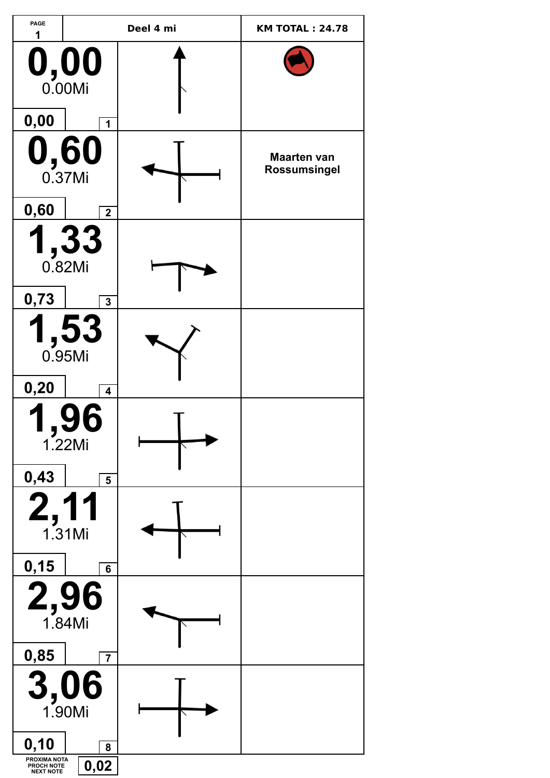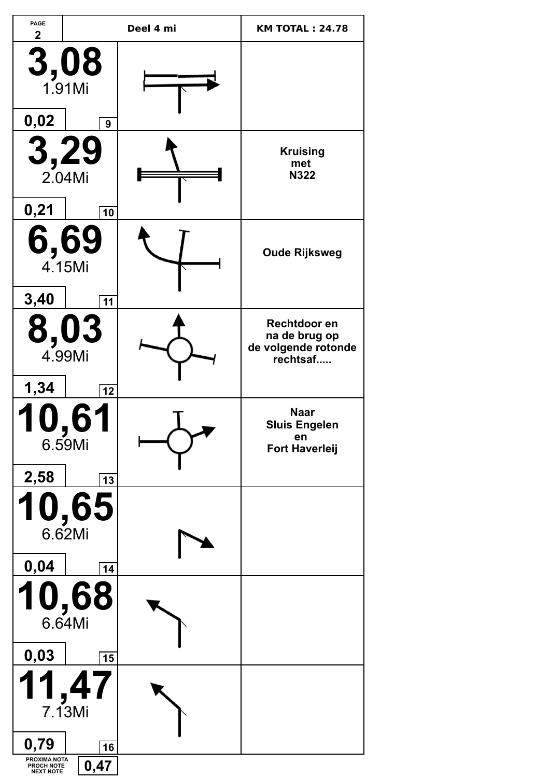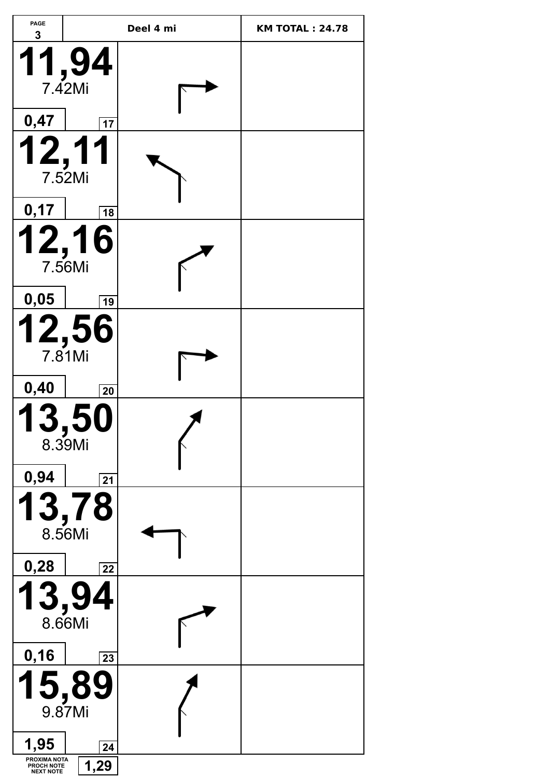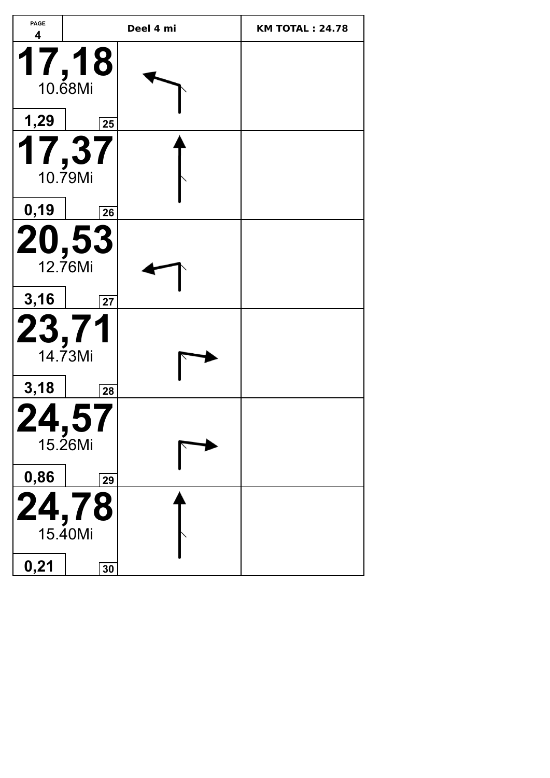